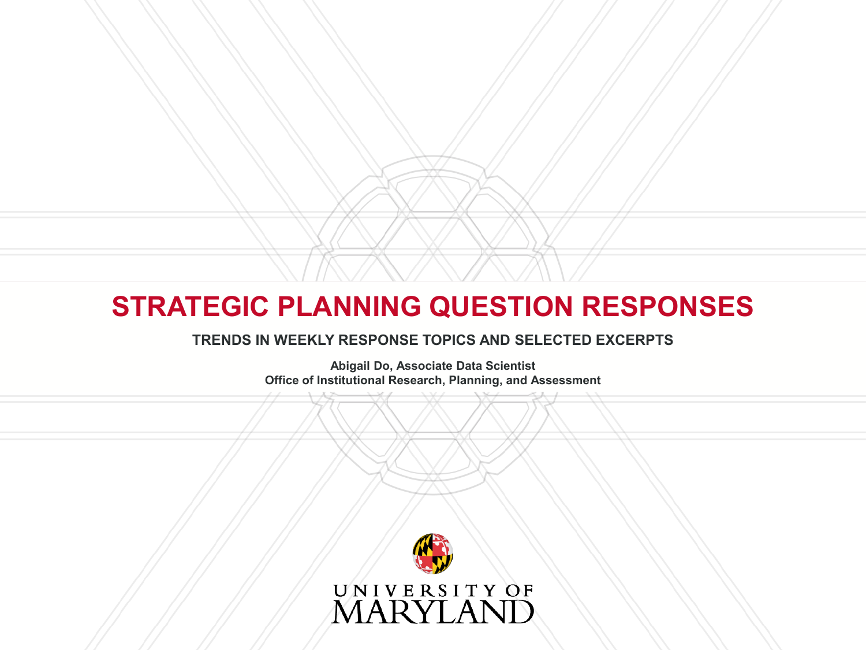### **STRATEGIC PLANNING QUESTION RESPONSES**

#### **TRENDS IN WEEKLY RESPONSE TOPICS AND SELECTED EXCERPTS**

**Abigail Do, Associate Data Scientist Office of Institutional Research, Planning, and Assessment**

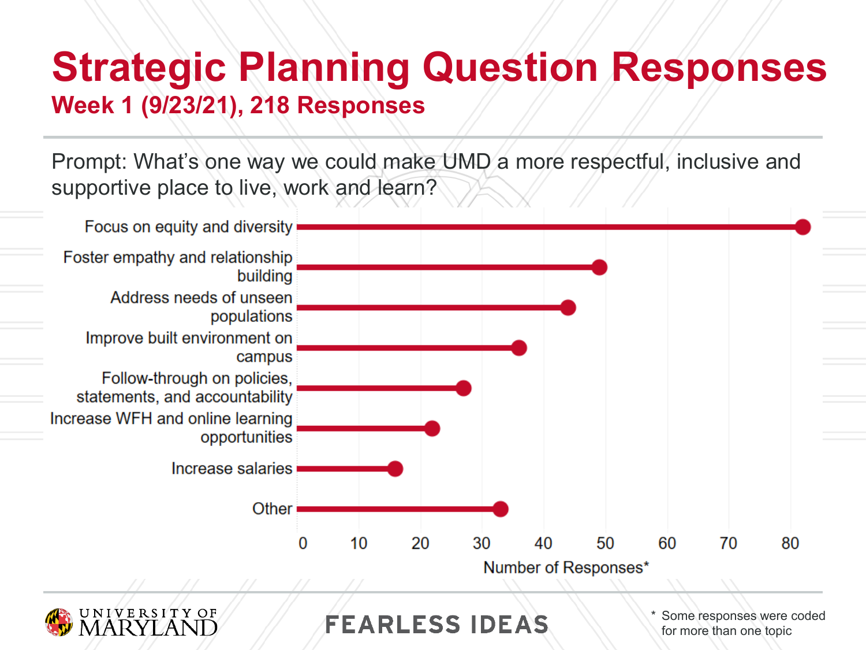### **Strategic Planning Question Responses Week 1 (9/23/21), 218 Responses**

Prompt: What's one way we could make UMD a more respectful, inclusive and supportive place to live, work and learn?



for more than one topic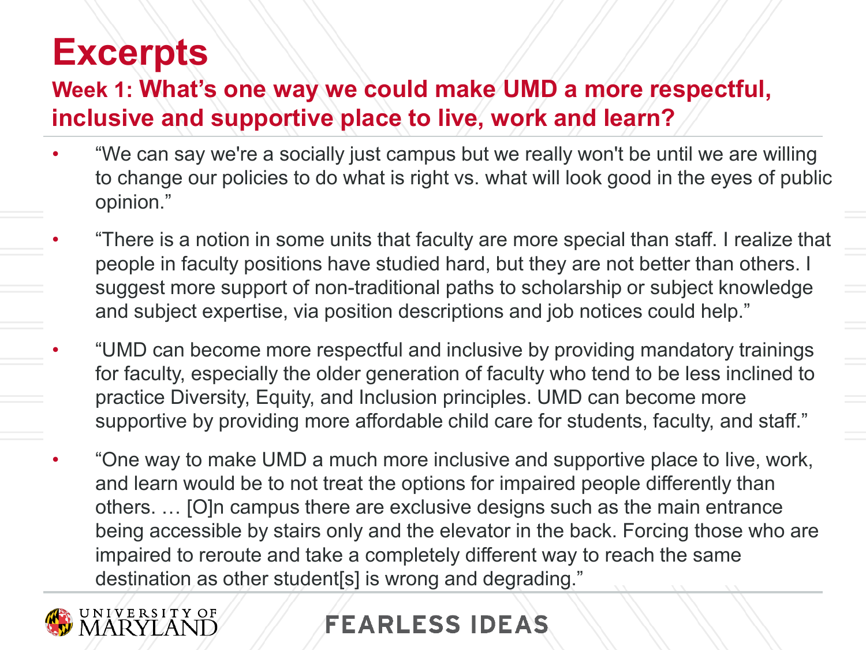#### **Week 1: What's one way we could make UMD a more respectful, inclusive and supportive place to live, work and learn?**

- "We can say we're a socially just campus but we really won't be until we are willing to change our policies to do what is right vs. what will look good in the eyes of public opinion."
- "There is a notion in some units that faculty are more special than staff. I realize that people in faculty positions have studied hard, but they are not better than others. I suggest more support of non-traditional paths to scholarship or subject knowledge and subject expertise, via position descriptions and job notices could help."
- "UMD can become more respectful and inclusive by providing mandatory trainings for faculty, especially the older generation of faculty who tend to be less inclined to practice Diversity, Equity, and Inclusion principles. UMD can become more supportive by providing more affordable child care for students, faculty, and staff."
- "One way to make UMD a much more inclusive and supportive place to live, work, and learn would be to not treat the options for impaired people differently than others. … [O]n campus there are exclusive designs such as the main entrance being accessible by stairs only and the elevator in the back. Forcing those who are impaired to reroute and take a completely different way to reach the same destination as other student[s] is wrong and degrading."

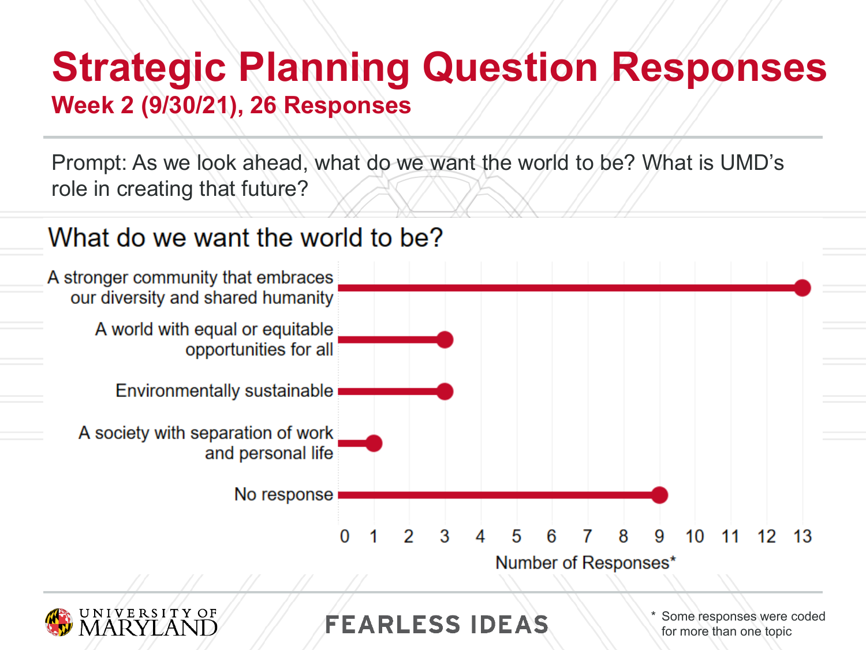# **Strategic Planning Question Responses**

#### **Week 2 (9/30/21), 26 Responses**

Prompt: As we look ahead, what do we want the world to be? What is UMD's role in creating that future?

### What do we want the world to be?





**FEARLESS IDEAS** 

\* Some responses were coded for more than one topic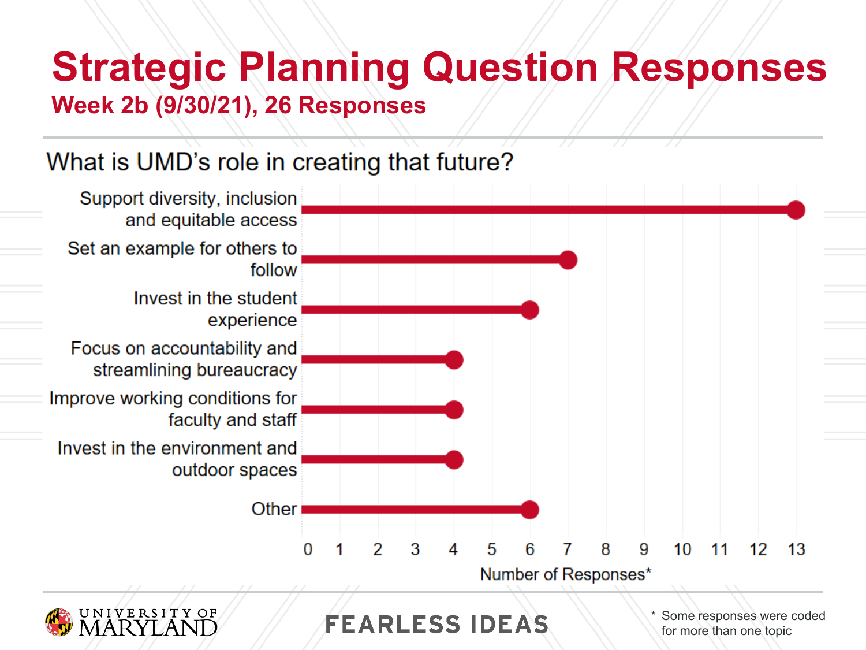# **Strategic Planning Question Responses**

**Week 2b (9/30/21), 26 Responses**

### What is UMD's role in creating that future?



**FEARLESS IDEAS** 

\* Some responses were coded for more than one topic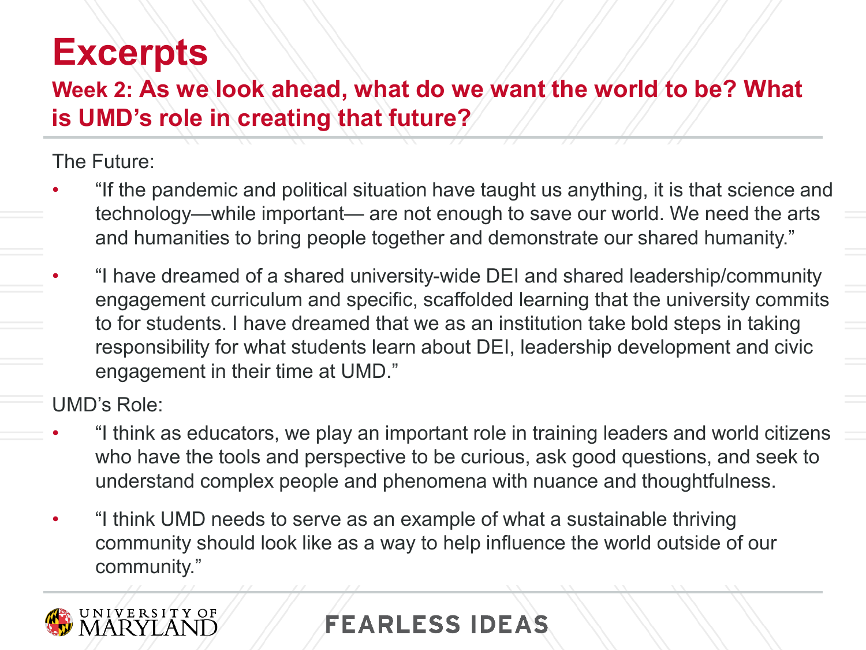#### **Week 2: As we look ahead, what do we want the world to be? What is UMD's role in creating that future?**

The Future:

- "If the pandemic and political situation have taught us anything, it is that science and technology—while important— are not enough to save our world. We need the arts and humanities to bring people together and demonstrate our shared humanity."
- "I have dreamed of a shared university-wide DEI and shared leadership/community engagement curriculum and specific, scaffolded learning that the university commits to for students. I have dreamed that we as an institution take bold steps in taking responsibility for what students learn about DEI, leadership development and civic engagement in their time at UMD."

UMD's Role:

- "I think as educators, we play an important role in training leaders and world citizens who have the tools and perspective to be curious, ask good questions, and seek to understand complex people and phenomena with nuance and thoughtfulness.
- "I think UMD needs to serve as an example of what a sustainable thriving community should look like as a way to help influence the world outside of our community."

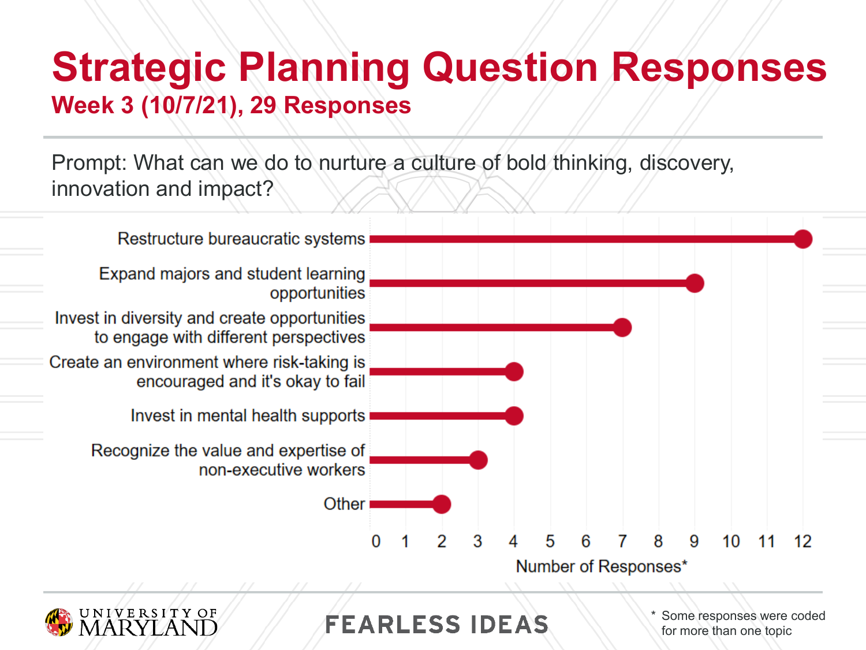### **Strategic Planning Question Responses Week 3 (10/7/21), 29 Responses**

Prompt: What can we do to nurture a culture of bold thinking, discovery, innovation and impact?





**FEARLESS IDEAS** 

\* Some responses were coded for more than one topic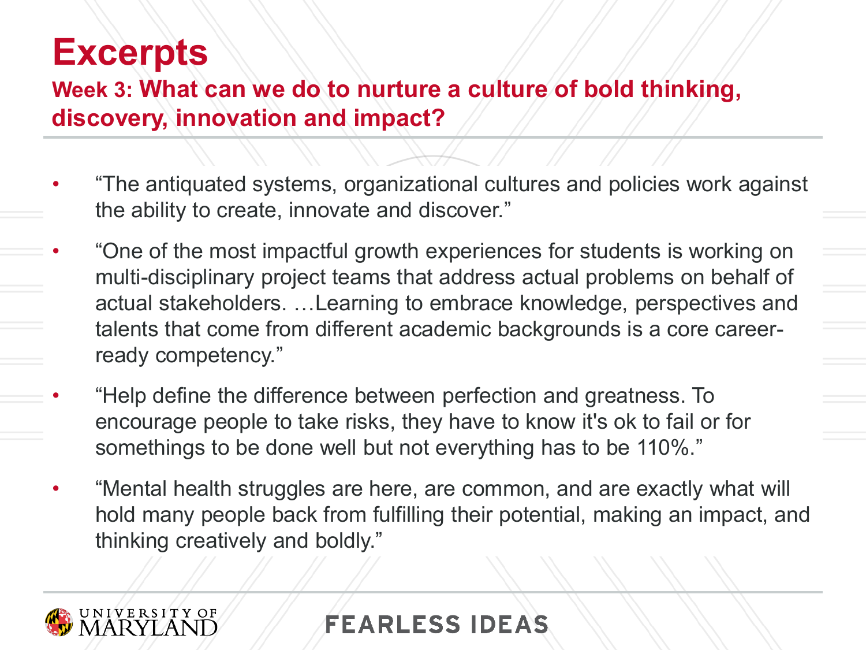#### **Week 3: What can we do to nurture a culture of bold thinking, discovery, innovation and impact?**

- "The antiquated systems, organizational cultures and policies work against the ability to create, innovate and discover."
- "One of the most impactful growth experiences for students is working on multi-disciplinary project teams that address actual problems on behalf of actual stakeholders. …Learning to embrace knowledge, perspectives and talents that come from different academic backgrounds is a core careerready competency."
- "Help define the difference between perfection and greatness. To encourage people to take risks, they have to know it's ok to fail or for somethings to be done well but not everything has to be 110%."
- "Mental health struggles are here, are common, and are exactly what will hold many people back from fulfilling their potential, making an impact, and thinking creatively and boldly."

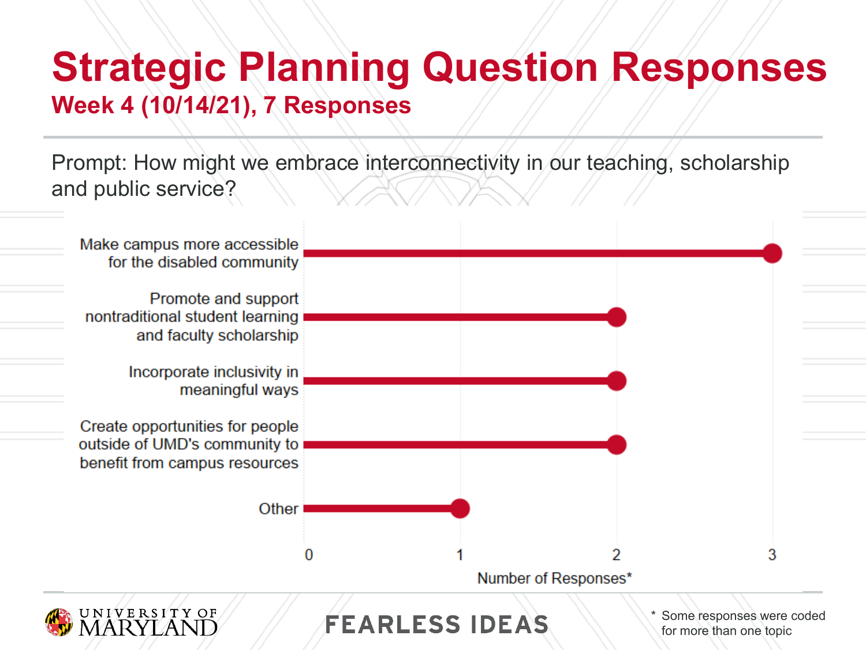### **Strategic Planning Question Responses Week 4 (10/14/21), 7 Responses**

Prompt: How might we embrace interconnectivity in our teaching, scholarship and public service?

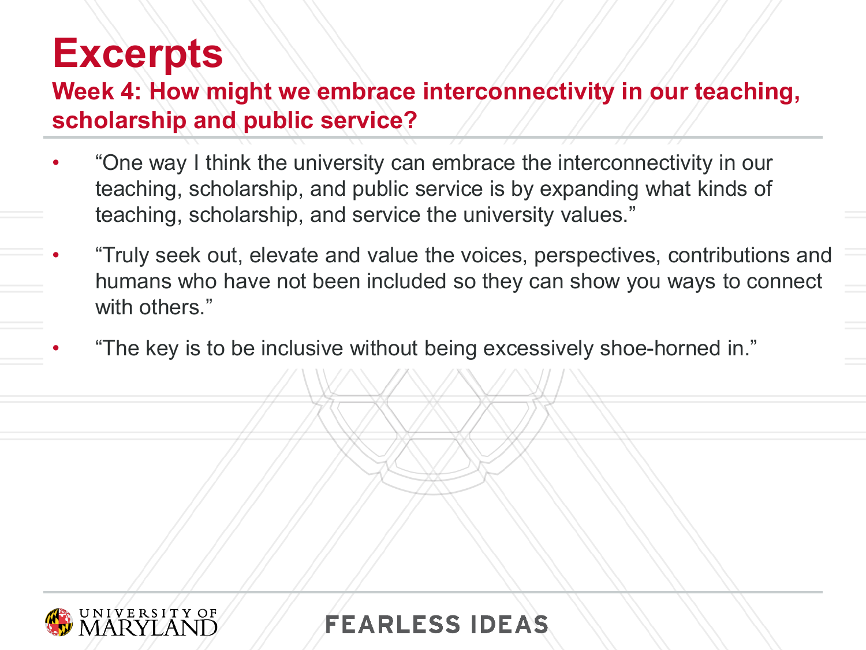### **Week 4: How might we embrace interconnectivity in our teaching, scholarship and public service?**

- "One way I think the university can embrace the interconnectivity in our teaching, scholarship, and public service is by expanding what kinds of teaching, scholarship, and service the university values."
- "Truly seek out, elevate and value the voices, perspectives, contributions and humans who have not been included so they can show you ways to connect with others."
- "The key is to be inclusive without being excessively shoe-horned in."

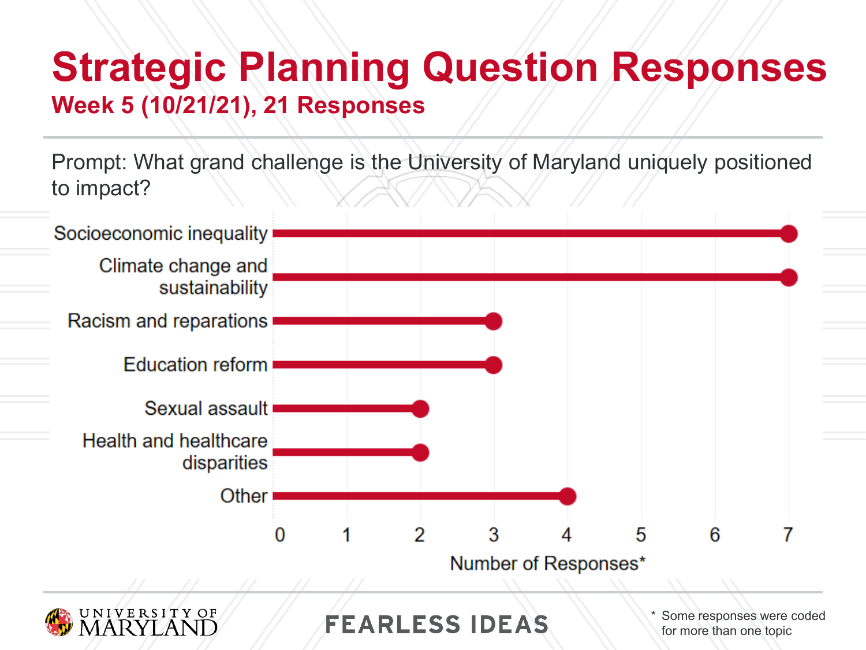### **Strategic Planning Question Responses Week 5 (10/21/21), 21 Responses**

Prompt: What grand challenge is the University of Maryland uniquely positioned to impact?

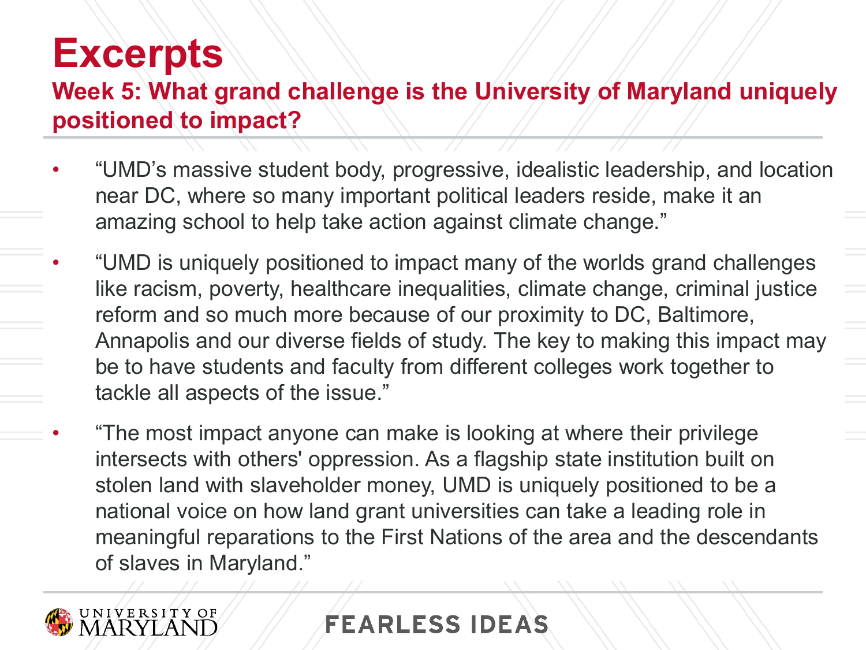#### **Week 5: What grand challenge is the University of Maryland uniquely positioned to impact?**

- "UMD's massive student body, progressive, idealistic leadership, and location near DC, where so many important political leaders reside, make it an amazing school to help take action against climate change."
- "UMD is uniquely positioned to impact many of the worlds grand challenges like racism, poverty, healthcare inequalities, climate change, criminal justice reform and so much more because of our proximity to DC, Baltimore, Annapolis and our diverse fields of study. The key to making this impact may be to have students and faculty from different colleges work together to tackle all aspects of the issue."
- "The most impact anyone can make is looking at where their privilege intersects with others' oppression. As a flagship state institution built on stolen land with slaveholder money, UMD is uniquely positioned to be a national voice on how land grant universities can take a leading role in meaningful reparations to the First Nations of the area and the descendants of slaves in Maryland."

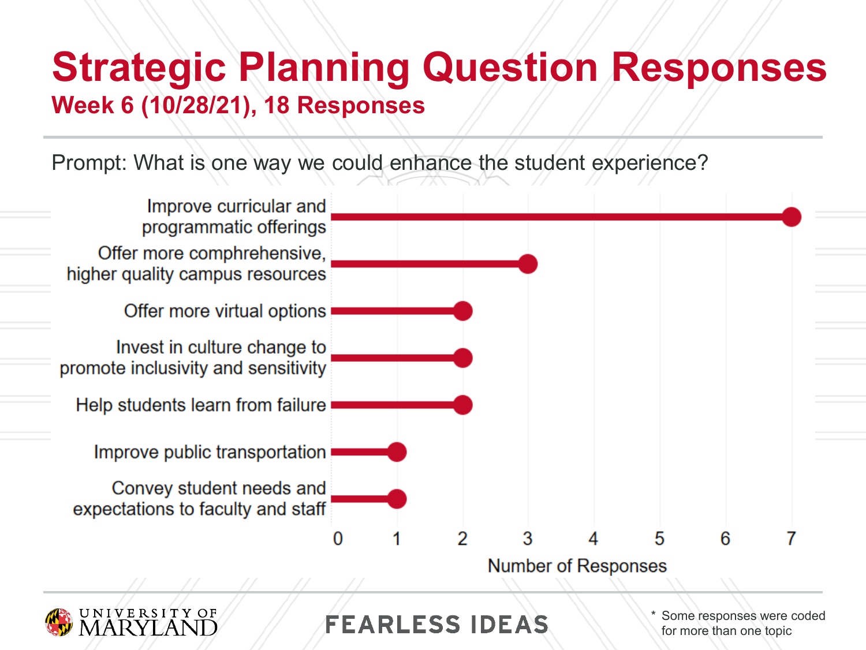### **Strategic Planning Question Responses Week 6 (10/28/21), 18 Responses**

Prompt: What is one way we could enhance the student experience?



for more than one topic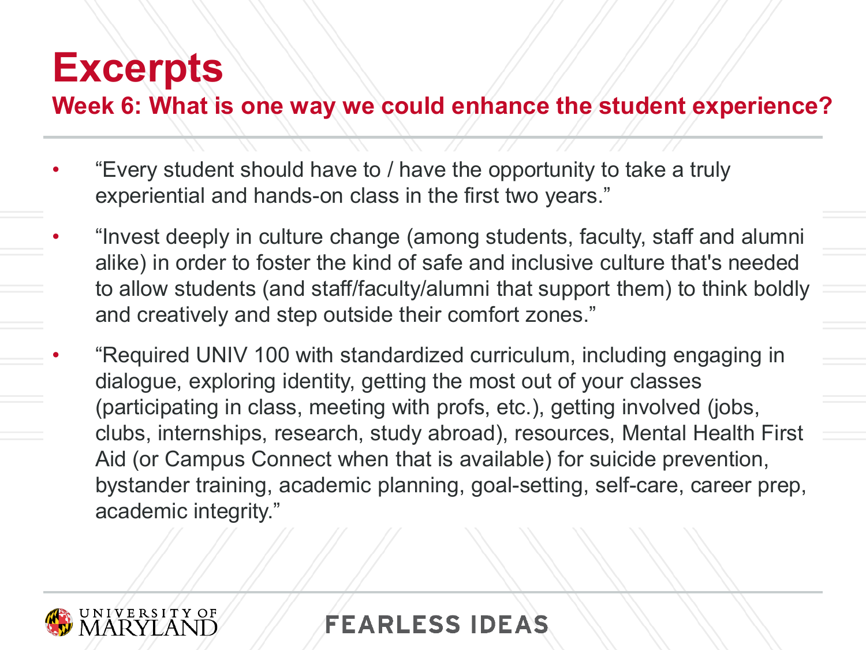#### **Week 6: What is one way we could enhance the student experience?**

- "Every student should have to / have the opportunity to take a truly experiential and hands-on class in the first two years."
- "Invest deeply in culture change (among students, faculty, staff and alumni alike) in order to foster the kind of safe and inclusive culture that's needed to allow students (and staff/faculty/alumni that support them) to think boldly and creatively and step outside their comfort zones."
- "Required UNIV 100 with standardized curriculum, including engaging in dialogue, exploring identity, getting the most out of your classes (participating in class, meeting with profs, etc.), getting involved (jobs, clubs, internships, research, study abroad), resources, Mental Health First Aid (or Campus Connect when that is available) for suicide prevention, bystander training, academic planning, goal-setting, self-care, career prep, academic integrity."

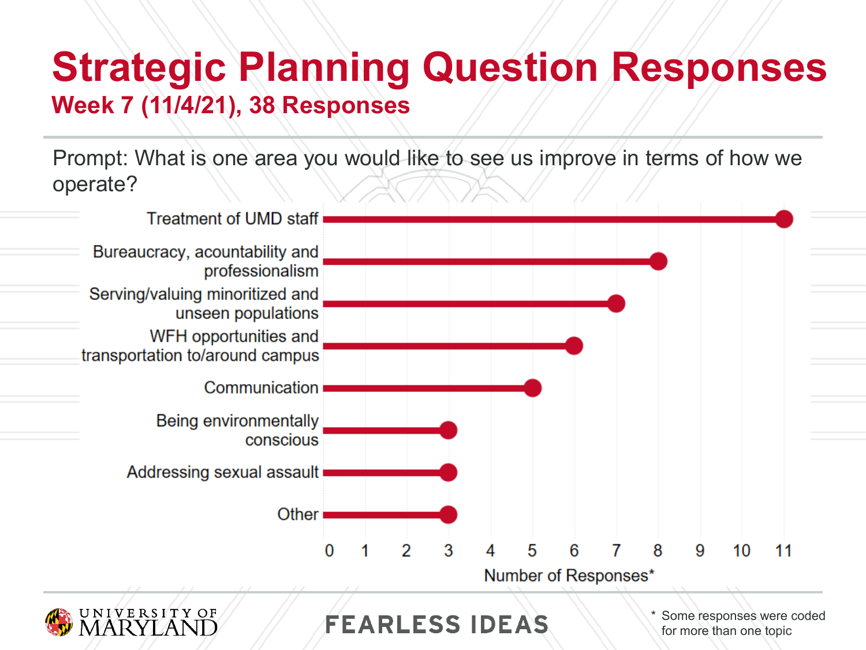### **Strategic Planning Question Responses Week 7 (11/4/21), 38 Responses**

Prompt: What is one area you would like to see us improve in terms of how we operate?